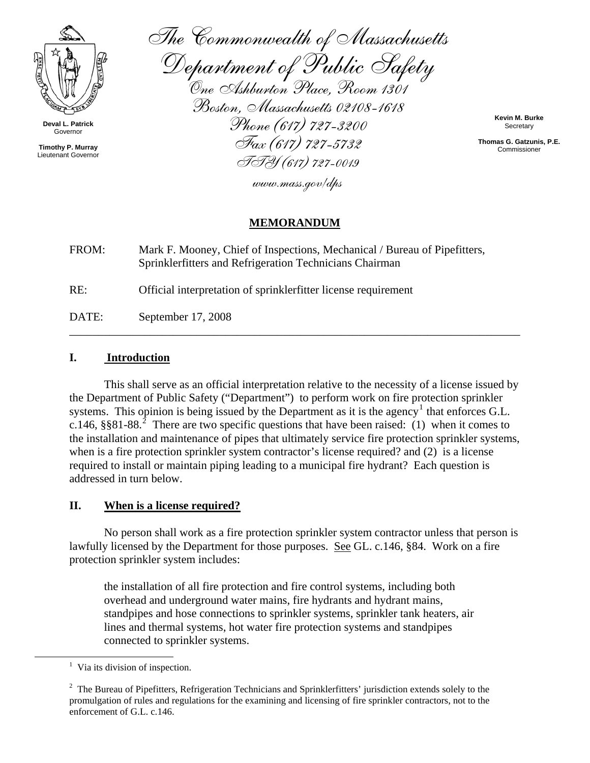

**Deval L. Patrick**  Governor

**Timothy P. Murray**  Lieutenant Governor

The Commonwealth of Massachusetts

Department of Public Safety<br>One Ashburton Place, Room 1301 Boston, Massachusetts 02108-1618 Phone (617) 727-3200 Fax (617) 727-5732 TTY (617) 727-0019

**Kevin M. Burke Secretary** 

**Thomas G. Gatzunis, P.E.** Commissioner

www.mass.gov/dps

## **MEMORANDUM**

FROM: Mark F. Mooney, Chief of Inspections, Mechanical / Bureau of Pipefitters, Sprinklerfitters and Refrigeration Technicians Chairman

RE: Official interpretation of sprinklerfitter license requirement

DATE: September 17, 2008

## **I. Introduction**

This shall serve as an official interpretation relative to the necessity of a license issued by the Department of Public Safety ("Department") to perform work on fire protection sprinkler systems. This opinion is being issued by the Department as it is the agency<sup>[1](#page-0-0)</sup> that enforces G.L. c.146, §§81-88.<sup>[2](#page-0-1)</sup> There are two specific questions that have been raised: (1) when it comes to the installation and maintenance of pipes that ultimately service fire protection sprinkler systems, when is a fire protection sprinkler system contractor's license required? and (2) is a license required to install or maintain piping leading to a municipal fire hydrant? Each question is addressed in turn below.

\_\_\_\_\_\_\_\_\_\_\_\_\_\_\_\_\_\_\_\_\_\_\_\_\_\_\_\_\_\_\_\_\_\_\_\_\_\_\_\_\_\_\_\_\_\_\_\_\_\_\_\_\_\_\_\_\_\_\_\_\_\_\_\_\_\_\_\_\_\_\_\_\_\_\_\_\_\_

## **II. When is a license required?**

No person shall work as a fire protection sprinkler system contractor unless that person is lawfully licensed by the Department for those purposes. See GL. c.146, §84. Work on a fire protection sprinkler system includes:

the installation of all fire protection and fire control systems, including both overhead and underground water mains, fire hydrants and hydrant mains, standpipes and hose connections to sprinkler systems, sprinkler tank heaters, air lines and thermal systems, hot water fire protection systems and standpipes connected to sprinkler systems.

<span id="page-0-1"></span><span id="page-0-0"></span><sup>&</sup>lt;u>1</u>  $<sup>1</sup>$  Via its division of inspection.</sup>

 $2$  The Bureau of Pipefitters, Refrigeration Technicians and Sprinklerfitters' jurisdiction extends solely to the promulgation of rules and regulations for the examining and licensing of fire sprinkler contractors, not to the enforcement of G.L. c.146.